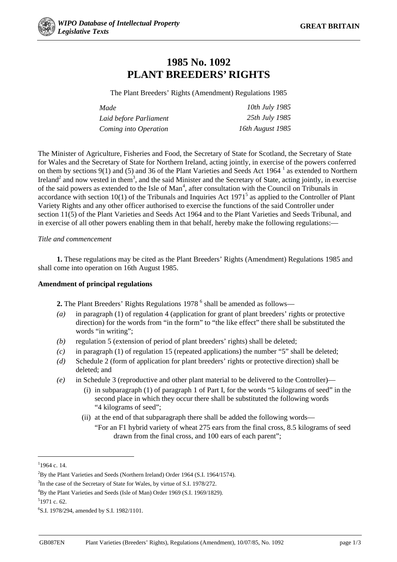

## **1985 No. 1092 PLANT BREEDERS' RIGHTS**

The Plant Breeders' Rights (Amendment) Regulations 1985

| Made                   | 10th July 1985   |
|------------------------|------------------|
| Laid before Parliament | 25th July 1985   |
| Coming into Operation  | 16th August 1985 |

The Minister of Agriculture, Fisheries and Food, the Secretary of State for Scotland, the Secretary of State for Wales and the Secretary of State for Northern Ireland, acting jointly, in exercise of the powers conferred on them by sections 9(1) and (5) and 36 of the Plant Varieties and Seeds Act 1964<sup>1</sup> as extended to Northern Ireland<sup>2</sup> and now vested in them<sup>3</sup>, and the said Minister and the Secretary of State, acting jointly, in exercise of the said powers as extended to the Isle of Man<sup>4</sup>, after consultation with the Council on Tribunals in accordance with section  $10(1)$  of the Tribunals and Inquiries Act  $1971<sup>5</sup>$  as applied to the Controller of Plant Variety Rights and any other officer authorised to exercise the functions of the said Controller under section 11(5) of the Plant Varieties and Seeds Act 1964 and to the Plant Varieties and Seeds Tribunal, and in exercise of all other powers enabling them in that behalf, hereby make the following regulations:—

## *Title and commencement*

**1.** These regulations may be cited as the Plant Breeders' Rights (Amendment) Regulations 1985 and shall come into operation on 16th August 1985.

## **Amendment of principal regulations**

**2.** The Plant Breeders' Rights Regulations 1978<sup>6</sup> shall be amended as follows—

- *(a)* in paragraph (1) of regulation 4 (application for grant of plant breeders' rights or protective direction) for the words from "in the form" to "the like effect" there shall be substituted the words "in writing";
- *(b)* regulation 5 (extension of period of plant breeders' rights) shall be deleted;
- *(c)* in paragraph (1) of regulation 15 (repeated applications) the number "5" shall be deleted;
- *(d)* Schedule 2 (form of application for plant breeders' rights or protective direction) shall be deleted; and
- *(e)* in Schedule 3 (reproductive and other plant material to be delivered to the Controller)—
	- (i) in subparagraph (1) of paragraph 1 of Part I, for the words "5 kilograms of seed" in the second place in which they occur there shall be substituted the following words "4 kilograms of seed";
	- (ii) at the end of that subparagraph there shall be added the following words—
		- "For an F1 hybrid variety of wheat 275 ears from the final cross, 8.5 kilograms of seed drawn from the final cross, and 100 ears of each parent";

**.** 

5 1971 c. 62.

 $11964$  c. 14.

 $^{2}$ By the Plant Varieties and Seeds (Northern Ireland) Order 1964 (S.I. 1964/1574).

<sup>&</sup>lt;sup>3</sup>In the case of the Secretary of State for Wales, by virtue of S.I. 1978/272.

<sup>4</sup> By the Plant Varieties and Seeds (Isle of Man) Order 1969 (S.I. 1969/1829).

<sup>6</sup> S.I. 1978/294, amended by S.I. 1982/1101.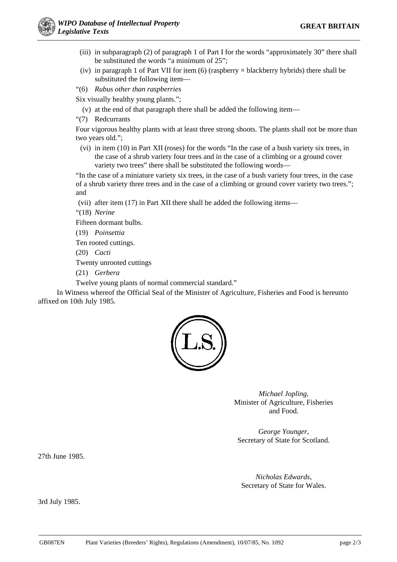- (iii) in subparagraph (2) of paragraph 1 of Part I for the words "approximately 30" there shall be substituted the words "a minimum of 25";
- (iv) in paragraph 1 of Part VII for item  $(6)$  (raspberry  $\times$  blackberry hybrids) there shall be substituted the following item—
- "(6) *Rubus other than raspberries*

Six visually healthy young plants.";

- (v) at the end of that paragraph there shall be added the following item—
- "(7) Redcurrants

Four vigorous healthy plants with at least three strong shoots. The plants shall not be more than two years old.";

(vi) in item (10) in Part XII (roses) for the words "In the case of a bush variety six trees, in the case of a shrub variety four trees and in the case of a climbing or a ground cover variety two trees" there shall be substituted the following words—

"In the case of a miniature variety six trees, in the case of a bush variety four trees, in the case of a shrub variety three trees and in the case of a climbing or ground cover variety two trees."; and

(vii) after item (17) in Part XII there shall be added the following items—

"(18) *Nerine*

Fifteen dormant bulbs.

(19) *Poinsettia*

Ten rooted cuttings.

(20) *Cacti*

Twenty unrooted cuttings

(21) *Gerbera*

Twelve young plants of normal commercial standard."

In Witness whereof the Official Seal of the Minister of Agriculture, Fisheries and Food is hereunto affixed on 10th July 1985.



*Michael Jopling,* Minister of Agriculture, Fisheries and Food.

*George Younger,* Secretary of State for Scotland.

27th June 1985.

*Nicholas Edwards,* Secretary of State for Wales.

3rd July 1985.